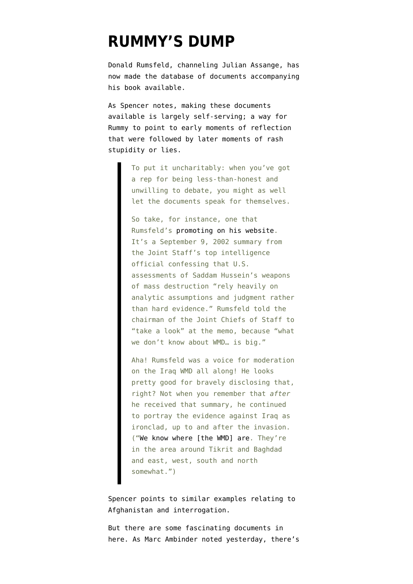## **[RUMMY'S DUMP](https://www.emptywheel.net/2011/02/08/rummys-dump/)**

Donald Rumsfeld, channeling Julian Assange, has now made the [database of documents](http://www.rumsfeld.com/library/) accompanying his book available.

As Spencer [notes,](http://www.wired.com/dangerroom/2011/02/rumsfeld-wikileaks-himself/) making these documents available is largely self-serving; a way for Rummy to point to early moments of reflection that were followed by later moments of rash stupidity or lies.

> To put it uncharitably: when you've got a rep for being less-than-honest and unwilling to debate, you might as well let the documents speak for themselves.

So take, for instance, one that Rumsfeld's [promoting on his website](http://www.rumsfeld.com/library/detail/newlydeclassified-document-released). It's a September 9, 2002 summary from the Joint Staff's top intelligence official confessing that U.S. assessments of Saddam Hussein's weapons of mass destruction "rely heavily on analytic assumptions and judgment rather than hard evidence." Rumsfeld told the chairman of the Joint Chiefs of Staff to "take a look" at the memo, because "what we don't know about WMD… is big."

Aha! Rumsfeld was a voice for moderation on the Iraq WMD all along! He looks pretty good for bravely disclosing that, right? Not when you remember that *after* he received that summary, he continued to portray the evidence against Iraq as ironclad, up to and after the invasion. (["We know where \[the WMD\] are.](http://www.defense.gov/transcripts/transcript.aspx?transcriptid=2185) They're in the area around Tikrit and Baghdad and east, west, south and north somewhat.")

Spencer [points to](http://www.wired.com/dangerroom/2011/02/rumsfeld-wikileaks-himself/) similar examples relating to Afghanistan and interrogation.

But there are some fascinating documents in here. As Marc Ambinder noted yesterday, there's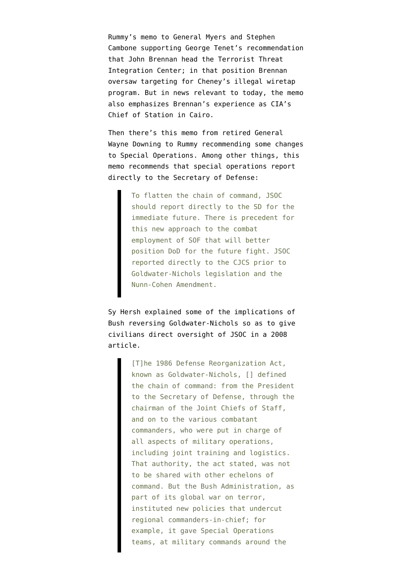[Rummy's memo](http://library.rumsfeld.com/doclib/sp/1784/2003-03-05%20to%20Gen%20Myers%20et%20al%20re%20Director%20of%20the%20TTIC.pdf#search=%22brennan%22) to General Myers and Stephen Cambone supporting George Tenet's recommendation that John Brennan head the Terrorist Threat Integration Center; in that position Brennan [oversaw targeting](http://emptywheel.firedoglake.com/2009/07/11/did-obama-flip-flop-on-fisa-to-protect-john-brennan/) for Cheney's illegal wiretap program. But in news relevant to today, the memo also emphasizes Brennan's experience as CIA's Chief of Station in Cairo.

Then there's [this memo](http://library.rumsfeld.com/doclib/sp/413/2005-11-09%20from%20General%20Wayne%20Downing%20re%20Special%20Operations%20Force%20Assesment.pdf#search=%22downing%20operations%22) from [retired General](https://www.nytimes.com/2007/07/19/washington/19downing.html) [Wayne Downing](https://www.nytimes.com/2007/07/19/washington/19downing.html) to Rummy recommending some changes to Special Operations. Among other things, this memo recommends that special operations report directly to the Secretary of Defense:

> To flatten the chain of command, JSOC should report directly to the SD for the immediate future. There is precedent for this new approach to the combat employment of SOF that will better position DoD for the future fight. JSOC reported directly to the CJCS prior to Goldwater-Nichols legislation and the Nunn-Cohen Amendment.

Sy Hersh explained some of the implications of Bush reversing Goldwater-Nichols so as to give civilians direct oversight of JSOC [in a 2008](http://www.newyorker.com/reporting/2008/07/07/080707fa_fact_hersh?currentPage=all) [article.](http://www.newyorker.com/reporting/2008/07/07/080707fa_fact_hersh?currentPage=all)

> [T]he 1986 Defense Reorganization Act, known as Goldwater-Nichols, [] defined the chain of command: from the President to the Secretary of Defense, through the chairman of the Joint Chiefs of Staff, and on to the various combatant commanders, who were put in charge of all aspects of military operations, including joint training and logistics. That authority, the act stated, was not to be shared with other echelons of command. But the Bush Administration, as part of its global war on terror, instituted new policies that undercut regional commanders-in-chief; for example, it gave Special Operations teams, at military commands around the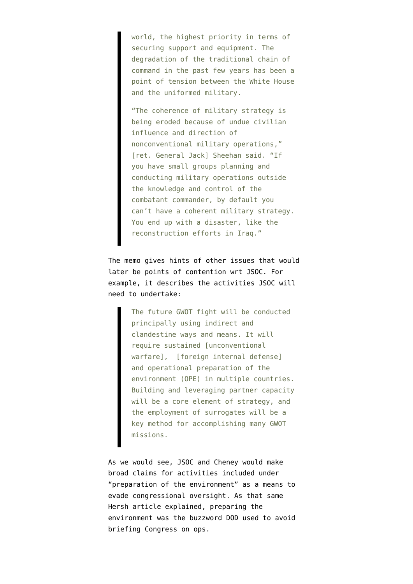world, the highest priority in terms of securing support and equipment. The degradation of the traditional chain of command in the past few years has been a point of tension between the White House and the uniformed military.

"The coherence of military strategy is being eroded because of undue civilian influence and direction of nonconventional military operations," [ret. General Jack] Sheehan said. "If you have small groups planning and conducting military operations outside the knowledge and control of the combatant commander, by default you can't have a coherent military strategy. You end up with a disaster, like the reconstruction efforts in Iraq."

The memo gives hints of other issues that would later be points of contention wrt JSOC. For example, it describes the activities JSOC will need to undertake:

> The future GWOT fight will be conducted principally using indirect and clandestine ways and means. It will require sustained [unconventional warfare], [foreign internal defense] and operational preparation of the environment (OPE) in multiple countries. Building and leveraging partner capacity will be a core element of strategy, and the employment of surrogates will be a key method for accomplishing many GWOT missions.

As we would see, JSOC and Cheney would [make](http://emptywheel.firedoglake.com/2008/06/29/the-barnacle-branch-still-evading-oversight/) [broad claims](http://emptywheel.firedoglake.com/2008/06/29/the-barnacle-branch-still-evading-oversight/) for activities included under "preparation of the environment" as a means to evade congressional oversight. As that same Hersh article explained, preparing the environment was the buzzword DOD used to avoid briefing Congress on ops.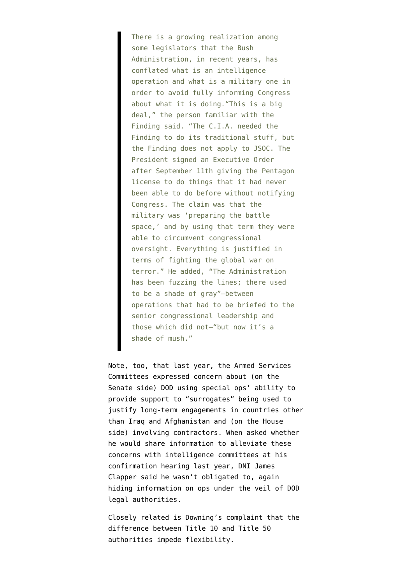There is a growing realization among some legislators that the Bush Administration, in recent years, has conflated what is an intelligence operation and what is a military one in order to avoid fully informing Congress about what it is doing."This is a big deal," the person familiar with the Finding said. "The C.I.A. needed the Finding to do its traditional stuff, but the Finding does not apply to JSOC. The President signed an Executive Order after September 11th giving the Pentagon license to do things that it had never been able to do before without notifying Congress. The claim was that the military was 'preparing the battle space,' and by using that term they were able to circumvent congressional oversight. Everything is justified in terms of fighting the global war on terror." He added, "The Administration has been fuzzing the lines; there used to be a shade of gray"—between operations that had to be briefed to the senior congressional leadership and those which did not—"but now it's a shade of mush."

Note, too, that last year, the Armed Services Committees [expressed concern](http://emptywheel.firedoglake.com/2010/07/28/james-clapper-hedges-on-providing-ongoing-updates-on-special-ops-activities-to-intelligence-committees/) about (on the Senate side) DOD using special ops' ability to provide support to "surrogates" being used to justify long-term engagements in countries other than Iraq and Afghanistan and (on the House side) involving contractors. When asked whether he would share information to alleviate these concerns with intelligence committees at his confirmation hearing last year, DNI James Clapper said he wasn't obligated to, again hiding information on ops under the veil of DOD legal authorities.

Closely related is Downing's complaint that the difference between Title 10 and Title 50 authorities impede flexibility.